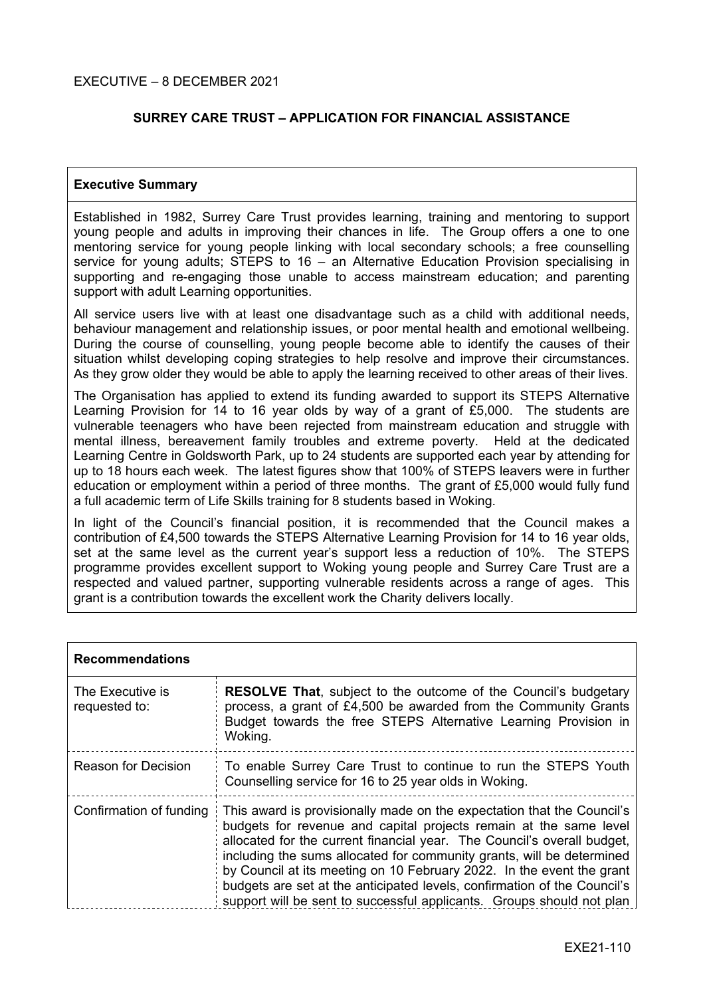#### EXECUTIVE – 8 DECEMBER 2021

### **SURREY CARE TRUST – APPLICATION FOR FINANCIAL ASSISTANCE**

#### **Executive Summary**

Established in 1982, Surrey Care Trust provides learning, training and mentoring to support young people and adults in improving their chances in life. The Group offers a one to one mentoring service for young people linking with local secondary schools; a free counselling service for young adults; STEPS to 16 – an Alternative Education Provision specialising in supporting and re-engaging those unable to access mainstream education; and parenting support with adult Learning opportunities.

All service users live with at least one disadvantage such as a child with additional needs, behaviour management and relationship issues, or poor mental health and emotional wellbeing. During the course of counselling, young people become able to identify the causes of their situation whilst developing coping strategies to help resolve and improve their circumstances. As they grow older they would be able to apply the learning received to other areas of their lives.

The Organisation has applied to extend its funding awarded to support its STEPS Alternative Learning Provision for 14 to 16 year olds by way of a grant of £5,000. The students are vulnerable teenagers who have been rejected from mainstream education and struggle with mental illness, bereavement family troubles and extreme poverty. Held at the dedicated Learning Centre in Goldsworth Park, up to 24 students are supported each year by attending for up to 18 hours each week. The latest figures show that 100% of STEPS leavers were in further education or employment within a period of three months. The grant of £5,000 would fully fund a full academic term of Life Skills training for 8 students based in Woking.

In light of the Council's financial position, it is recommended that the Council makes a contribution of £4,500 towards the STEPS Alternative Learning Provision for 14 to 16 year olds, set at the same level as the current year's support less a reduction of 10%. The STEPS programme provides excellent support to Woking young people and Surrey Care Trust are a respected and valued partner, supporting vulnerable residents across a range of ages. This grant is a contribution towards the excellent work the Charity delivers locally.

| <b>Recommendations</b>            |                                                                                                                                                                                                                                                                                                                                                                                                                                                                                                                               |  |
|-----------------------------------|-------------------------------------------------------------------------------------------------------------------------------------------------------------------------------------------------------------------------------------------------------------------------------------------------------------------------------------------------------------------------------------------------------------------------------------------------------------------------------------------------------------------------------|--|
| The Executive is<br>requested to: | <b>RESOLVE That, subject to the outcome of the Council's budgetary</b><br>process, a grant of £4,500 be awarded from the Community Grants<br>Budget towards the free STEPS Alternative Learning Provision in<br>Woking.                                                                                                                                                                                                                                                                                                       |  |
| <b>Reason for Decision</b>        | To enable Surrey Care Trust to continue to run the STEPS Youth<br>Counselling service for 16 to 25 year olds in Woking.                                                                                                                                                                                                                                                                                                                                                                                                       |  |
| Confirmation of funding           | This award is provisionally made on the expectation that the Council's<br>budgets for revenue and capital projects remain at the same level<br>allocated for the current financial year. The Council's overall budget,<br>including the sums allocated for community grants, will be determined<br>by Council at its meeting on 10 February 2022. In the event the grant<br>budgets are set at the anticipated levels, confirmation of the Council's<br>support will be sent to successful applicants. Groups should not plan |  |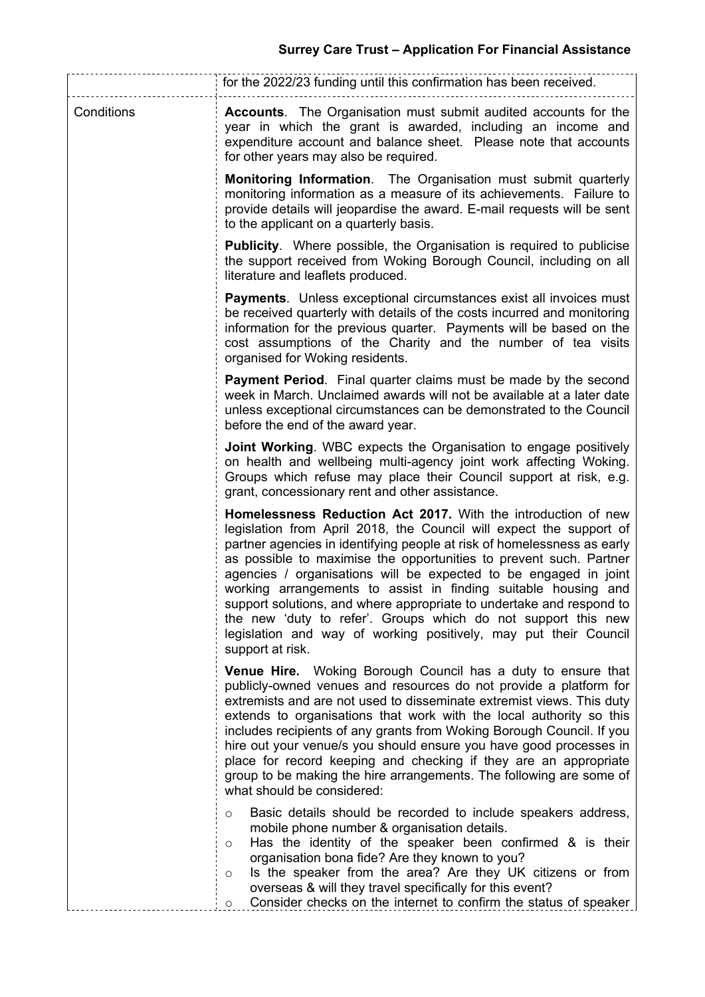|            | for the 2022/23 funding until this confirmation has been received.                                                                                                                                                                                                                                                                                                                                                                                                                                                                                                                                                                                           |  |  |
|------------|--------------------------------------------------------------------------------------------------------------------------------------------------------------------------------------------------------------------------------------------------------------------------------------------------------------------------------------------------------------------------------------------------------------------------------------------------------------------------------------------------------------------------------------------------------------------------------------------------------------------------------------------------------------|--|--|
| Conditions | <b>Accounts.</b> The Organisation must submit audited accounts for the<br>year in which the grant is awarded, including an income and<br>expenditure account and balance sheet. Please note that accounts<br>for other years may also be required.                                                                                                                                                                                                                                                                                                                                                                                                           |  |  |
|            | <b>Monitoring Information.</b> The Organisation must submit quarterly<br>monitoring information as a measure of its achievements. Failure to<br>provide details will jeopardise the award. E-mail requests will be sent<br>to the applicant on a quarterly basis.                                                                                                                                                                                                                                                                                                                                                                                            |  |  |
|            | <b>Publicity.</b> Where possible, the Organisation is required to publicise<br>the support received from Woking Borough Council, including on all<br>literature and leaflets produced.                                                                                                                                                                                                                                                                                                                                                                                                                                                                       |  |  |
|            | <b>Payments.</b> Unless exceptional circumstances exist all invoices must<br>be received quarterly with details of the costs incurred and monitoring<br>information for the previous quarter. Payments will be based on the<br>cost assumptions of the Charity and the number of tea visits<br>organised for Woking residents.                                                                                                                                                                                                                                                                                                                               |  |  |
|            | <b>Payment Period.</b> Final quarter claims must be made by the second<br>week in March. Unclaimed awards will not be available at a later date<br>unless exceptional circumstances can be demonstrated to the Council<br>before the end of the award year.                                                                                                                                                                                                                                                                                                                                                                                                  |  |  |
|            | <b>Joint Working.</b> WBC expects the Organisation to engage positively<br>on health and wellbeing multi-agency joint work affecting Woking.<br>Groups which refuse may place their Council support at risk, e.g.<br>grant, concessionary rent and other assistance.                                                                                                                                                                                                                                                                                                                                                                                         |  |  |
|            | Homelessness Reduction Act 2017. With the introduction of new<br>legislation from April 2018, the Council will expect the support of<br>partner agencies in identifying people at risk of homelessness as early<br>as possible to maximise the opportunities to prevent such. Partner<br>agencies / organisations will be expected to be engaged in joint<br>working arrangements to assist in finding suitable housing and<br>support solutions, and where appropriate to undertake and respond to<br>the new 'duty to refer'. Groups which do not support this new<br>legislation and way of working positively, may put their Council<br>support at risk. |  |  |
|            | Venue Hire. Woking Borough Council has a duty to ensure that<br>publicly-owned venues and resources do not provide a platform for<br>extremists and are not used to disseminate extremist views. This duty<br>extends to organisations that work with the local authority so this<br>includes recipients of any grants from Woking Borough Council. If you<br>hire out your venue/s you should ensure you have good processes in<br>place for record keeping and checking if they are an appropriate<br>group to be making the hire arrangements. The following are some of<br>what should be considered:                                                    |  |  |
|            | Basic details should be recorded to include speakers address,<br>$\circ$<br>mobile phone number & organisation details.<br>Has the identity of the speaker been confirmed & is their<br>$\circ$<br>organisation bona fide? Are they known to you?<br>Is the speaker from the area? Are they UK citizens or from<br>$\circ$<br>overseas & will they travel specifically for this event?<br>Consider checks on the internet to confirm the status of speaker<br>$\circ$                                                                                                                                                                                        |  |  |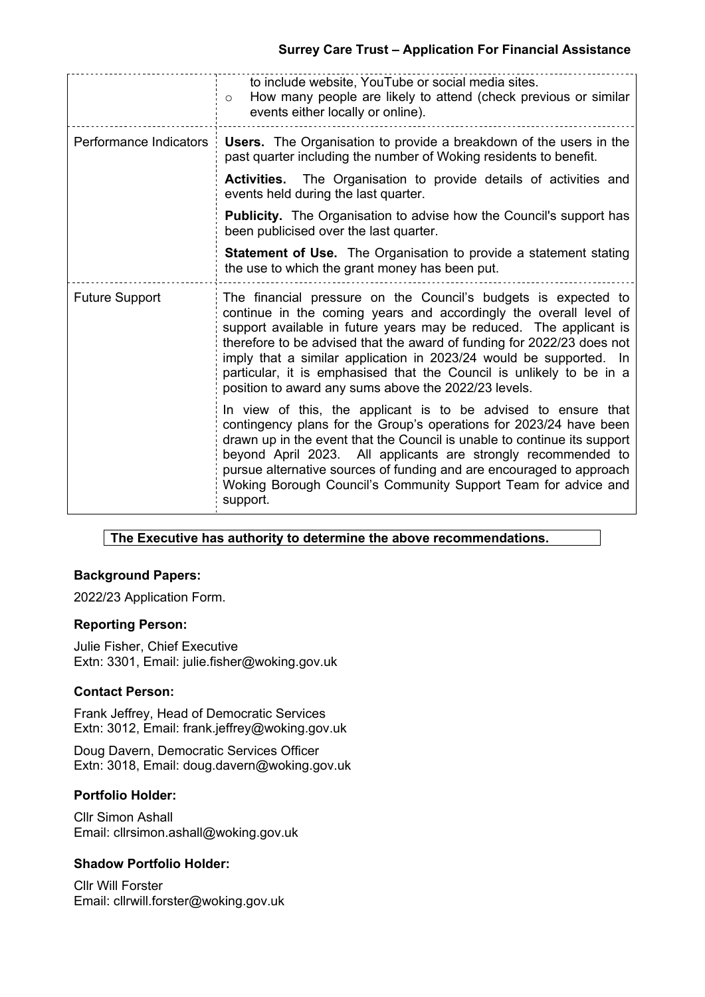## **Surrey Care Trust – Application For Financial Assistance**

|                        | to include website, YouTube or social media sites.<br>How many people are likely to attend (check previous or similar<br>$\circ$<br>events either locally or online).                                                                                                                                                                                                                                                                                                                     |
|------------------------|-------------------------------------------------------------------------------------------------------------------------------------------------------------------------------------------------------------------------------------------------------------------------------------------------------------------------------------------------------------------------------------------------------------------------------------------------------------------------------------------|
| Performance Indicators | Users. The Organisation to provide a breakdown of the users in the<br>past quarter including the number of Woking residents to benefit.                                                                                                                                                                                                                                                                                                                                                   |
|                        | The Organisation to provide details of activities and<br><b>Activities.</b><br>events held during the last quarter.                                                                                                                                                                                                                                                                                                                                                                       |
|                        | <b>Publicity.</b> The Organisation to advise how the Council's support has<br>been publicised over the last quarter.                                                                                                                                                                                                                                                                                                                                                                      |
|                        | <b>Statement of Use.</b> The Organisation to provide a statement stating<br>the use to which the grant money has been put.                                                                                                                                                                                                                                                                                                                                                                |
| <b>Future Support</b>  | The financial pressure on the Council's budgets is expected to<br>continue in the coming years and accordingly the overall level of<br>support available in future years may be reduced. The applicant is<br>therefore to be advised that the award of funding for 2022/23 does not<br>imply that a similar application in 2023/24 would be supported. In<br>particular, it is emphasised that the Council is unlikely to be in a<br>position to award any sums above the 2022/23 levels. |
|                        | In view of this, the applicant is to be advised to ensure that<br>contingency plans for the Group's operations for 2023/24 have been<br>drawn up in the event that the Council is unable to continue its support<br>beyond April 2023. All applicants are strongly recommended to<br>pursue alternative sources of funding and are encouraged to approach<br>Woking Borough Council's Community Support Team for advice and<br>support.                                                   |

## **The Executive has authority to determine the above recommendations.**

## **Background Papers:**

2022/23 Application Form.

#### **Reporting Person:**

Julie Fisher, Chief Executive Extn: 3301, Email: julie.fisher@woking.gov.uk

#### **Contact Person:**

Frank Jeffrey, Head of Democratic Services Extn: 3012, Email: frank.jeffrey@woking.gov.uk

Doug Davern, Democratic Services Officer Extn: 3018, Email: doug.davern@woking.gov.uk

#### **Portfolio Holder:**

Cllr Simon Ashall Email: cllrsimon.ashall@woking.gov.uk

## **Shadow Portfolio Holder:**

Cllr Will Forster Email: cllrwill.forster@woking.gov.uk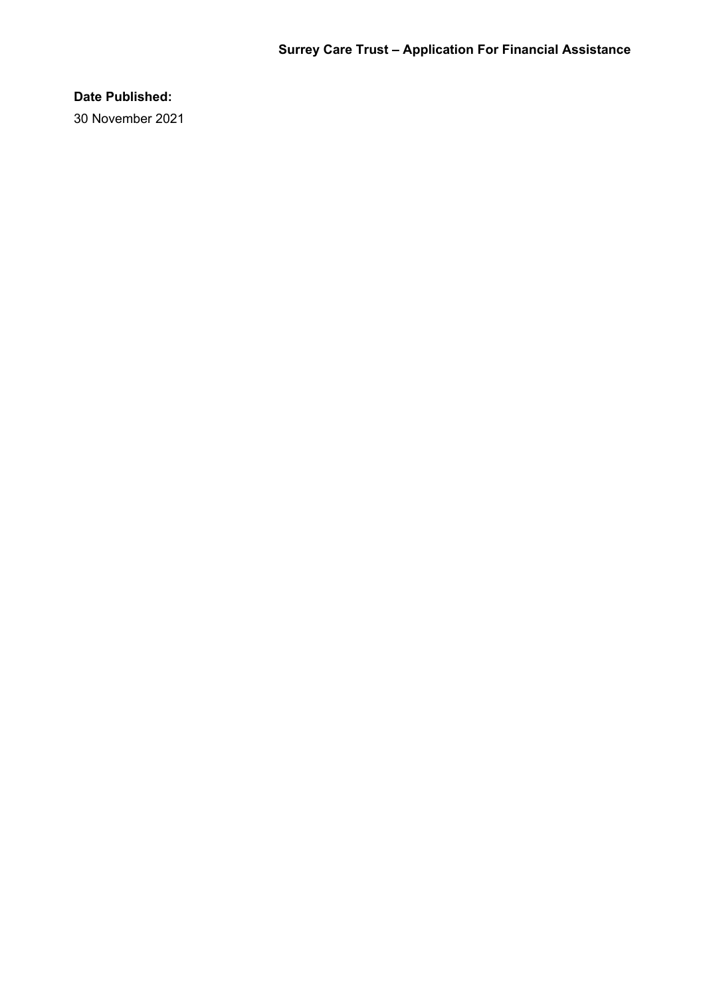# **Date Published:**

30 November 2021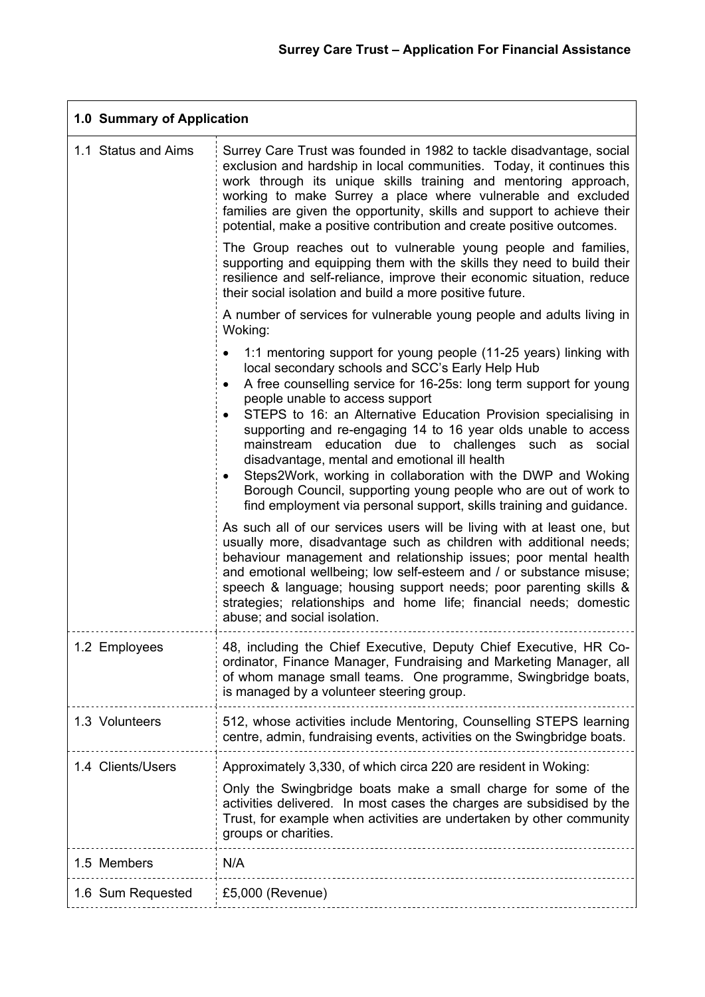| 1.0 Summary of Application |                                                                                                                                                                                                                                                                                                                                                                                                                                                                                                                                                                                                                                                                                                                                                                                                                                                                                                                                                                                                                                                                                                                                                                             |
|----------------------------|-----------------------------------------------------------------------------------------------------------------------------------------------------------------------------------------------------------------------------------------------------------------------------------------------------------------------------------------------------------------------------------------------------------------------------------------------------------------------------------------------------------------------------------------------------------------------------------------------------------------------------------------------------------------------------------------------------------------------------------------------------------------------------------------------------------------------------------------------------------------------------------------------------------------------------------------------------------------------------------------------------------------------------------------------------------------------------------------------------------------------------------------------------------------------------|
| 1.1 Status and Aims        | Surrey Care Trust was founded in 1982 to tackle disadvantage, social<br>exclusion and hardship in local communities. Today, it continues this<br>work through its unique skills training and mentoring approach,<br>working to make Surrey a place where vulnerable and excluded<br>families are given the opportunity, skills and support to achieve their<br>potential, make a positive contribution and create positive outcomes.                                                                                                                                                                                                                                                                                                                                                                                                                                                                                                                                                                                                                                                                                                                                        |
|                            | The Group reaches out to vulnerable young people and families,<br>supporting and equipping them with the skills they need to build their<br>resilience and self-reliance, improve their economic situation, reduce<br>their social isolation and build a more positive future.                                                                                                                                                                                                                                                                                                                                                                                                                                                                                                                                                                                                                                                                                                                                                                                                                                                                                              |
|                            | A number of services for vulnerable young people and adults living in<br>Woking:                                                                                                                                                                                                                                                                                                                                                                                                                                                                                                                                                                                                                                                                                                                                                                                                                                                                                                                                                                                                                                                                                            |
|                            | 1:1 mentoring support for young people (11-25 years) linking with<br>local secondary schools and SCC's Early Help Hub<br>A free counselling service for 16-25s: long term support for young<br>people unable to access support<br>STEPS to 16: an Alternative Education Provision specialising in<br>supporting and re-engaging 14 to 16 year olds unable to access<br>mainstream education due to challenges such as social<br>disadvantage, mental and emotional ill health<br>Steps2Work, working in collaboration with the DWP and Woking<br>$\bullet$<br>Borough Council, supporting young people who are out of work to<br>find employment via personal support, skills training and guidance.<br>As such all of our services users will be living with at least one, but<br>usually more, disadvantage such as children with additional needs;<br>behaviour management and relationship issues; poor mental health<br>and emotional wellbeing; low self-esteem and / or substance misuse;<br>speech & language; housing support needs; poor parenting skills &<br>strategies; relationships and home life; financial needs; domestic<br>abuse; and social isolation. |
| 1.2 Employees              | 48, including the Chief Executive, Deputy Chief Executive, HR Co-<br>ordinator, Finance Manager, Fundraising and Marketing Manager, all<br>of whom manage small teams. One programme, Swingbridge boats,<br>is managed by a volunteer steering group.                                                                                                                                                                                                                                                                                                                                                                                                                                                                                                                                                                                                                                                                                                                                                                                                                                                                                                                       |
| 1.3 Volunteers             | 512, whose activities include Mentoring, Counselling STEPS learning<br>centre, admin, fundraising events, activities on the Swingbridge boats.                                                                                                                                                                                                                                                                                                                                                                                                                                                                                                                                                                                                                                                                                                                                                                                                                                                                                                                                                                                                                              |
| 1.4 Clients/Users          | Approximately 3,330, of which circa 220 are resident in Woking:                                                                                                                                                                                                                                                                                                                                                                                                                                                                                                                                                                                                                                                                                                                                                                                                                                                                                                                                                                                                                                                                                                             |
|                            | Only the Swingbridge boats make a small charge for some of the<br>activities delivered. In most cases the charges are subsidised by the<br>Trust, for example when activities are undertaken by other community<br>groups or charities.                                                                                                                                                                                                                                                                                                                                                                                                                                                                                                                                                                                                                                                                                                                                                                                                                                                                                                                                     |
| 1.5 Members                | N/A                                                                                                                                                                                                                                                                                                                                                                                                                                                                                                                                                                                                                                                                                                                                                                                                                                                                                                                                                                                                                                                                                                                                                                         |
| 1.6 Sum Requested          | £5,000 (Revenue)                                                                                                                                                                                                                                                                                                                                                                                                                                                                                                                                                                                                                                                                                                                                                                                                                                                                                                                                                                                                                                                                                                                                                            |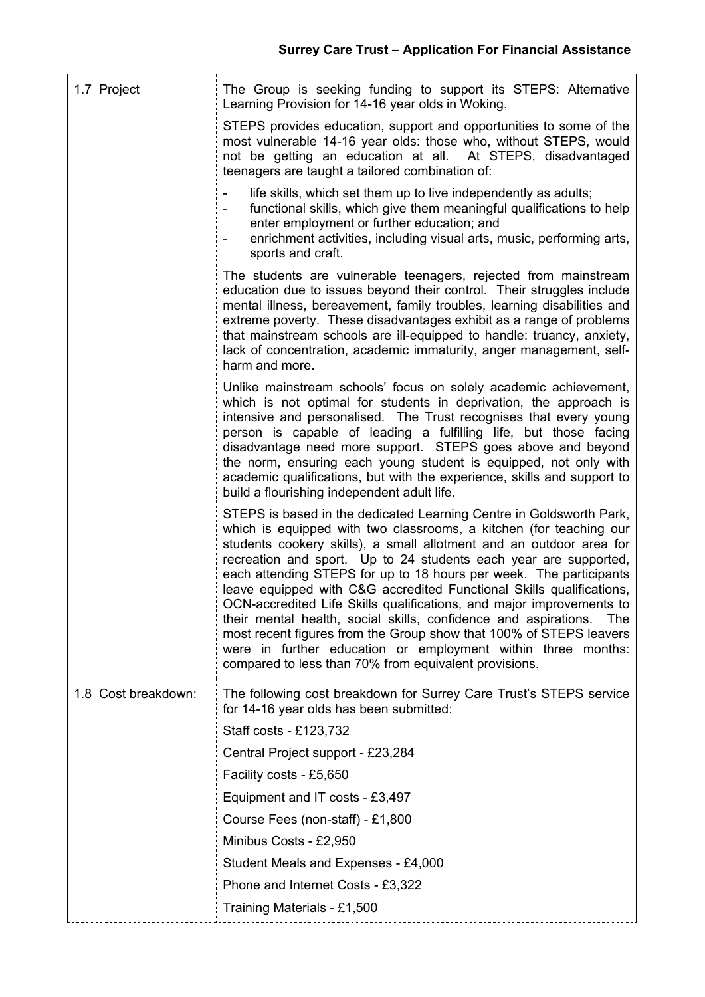| 1.7 Project         | The Group is seeking funding to support its STEPS: Alternative<br>Learning Provision for 14-16 year olds in Woking.                                                                                                                                                                                                                                                                                                                                                                                                                                                                                                                                                                                                                                                                        |
|---------------------|--------------------------------------------------------------------------------------------------------------------------------------------------------------------------------------------------------------------------------------------------------------------------------------------------------------------------------------------------------------------------------------------------------------------------------------------------------------------------------------------------------------------------------------------------------------------------------------------------------------------------------------------------------------------------------------------------------------------------------------------------------------------------------------------|
|                     | STEPS provides education, support and opportunities to some of the<br>most vulnerable 14-16 year olds: those who, without STEPS, would<br>not be getting an education at all. At STEPS, disadvantaged<br>teenagers are taught a tailored combination of:                                                                                                                                                                                                                                                                                                                                                                                                                                                                                                                                   |
|                     | life skills, which set them up to live independently as adults;<br>functional skills, which give them meaningful qualifications to help<br>enter employment or further education; and<br>enrichment activities, including visual arts, music, performing arts,<br>sports and craft.                                                                                                                                                                                                                                                                                                                                                                                                                                                                                                        |
|                     | The students are vulnerable teenagers, rejected from mainstream<br>education due to issues beyond their control. Their struggles include<br>mental illness, bereavement, family troubles, learning disabilities and<br>extreme poverty. These disadvantages exhibit as a range of problems<br>that mainstream schools are ill-equipped to handle: truancy, anxiety,<br>lack of concentration, academic immaturity, anger management, self-<br>harm and more.                                                                                                                                                                                                                                                                                                                               |
|                     | Unlike mainstream schools' focus on solely academic achievement,<br>which is not optimal for students in deprivation, the approach is<br>intensive and personalised. The Trust recognises that every young<br>person is capable of leading a fulfilling life, but those facing<br>disadvantage need more support. STEPS goes above and beyond<br>the norm, ensuring each young student is equipped, not only with<br>academic qualifications, but with the experience, skills and support to<br>build a flourishing independent adult life.                                                                                                                                                                                                                                                |
|                     | STEPS is based in the dedicated Learning Centre in Goldsworth Park,<br>which is equipped with two classrooms, a kitchen (for teaching our<br>students cookery skills), a small allotment and an outdoor area for<br>recreation and sport. Up to 24 students each year are supported,<br>each attending STEPS for up to 18 hours per week. The participants<br>leave equipped with C&G accredited Functional Skills qualifications,<br>OCN-accredited Life Skills qualifications, and major improvements to<br>their mental health, social skills, confidence and aspirations.<br><b>The</b><br>most recent figures from the Group show that 100% of STEPS leavers<br>were in further education or employment within three months:<br>compared to less than 70% from equivalent provisions. |
| 1.8 Cost breakdown: | The following cost breakdown for Surrey Care Trust's STEPS service<br>for 14-16 year olds has been submitted:                                                                                                                                                                                                                                                                                                                                                                                                                                                                                                                                                                                                                                                                              |
|                     | Staff costs - £123,732                                                                                                                                                                                                                                                                                                                                                                                                                                                                                                                                                                                                                                                                                                                                                                     |
|                     | Central Project support - £23,284                                                                                                                                                                                                                                                                                                                                                                                                                                                                                                                                                                                                                                                                                                                                                          |
|                     | Facility costs - £5,650                                                                                                                                                                                                                                                                                                                                                                                                                                                                                                                                                                                                                                                                                                                                                                    |
|                     | Equipment and IT costs - £3,497                                                                                                                                                                                                                                                                                                                                                                                                                                                                                                                                                                                                                                                                                                                                                            |
|                     | Course Fees (non-staff) - £1,800                                                                                                                                                                                                                                                                                                                                                                                                                                                                                                                                                                                                                                                                                                                                                           |
|                     | Minibus Costs - £2,950                                                                                                                                                                                                                                                                                                                                                                                                                                                                                                                                                                                                                                                                                                                                                                     |
|                     | Student Meals and Expenses - £4,000                                                                                                                                                                                                                                                                                                                                                                                                                                                                                                                                                                                                                                                                                                                                                        |
|                     | Phone and Internet Costs - £3,322                                                                                                                                                                                                                                                                                                                                                                                                                                                                                                                                                                                                                                                                                                                                                          |
|                     | Training Materials - £1,500                                                                                                                                                                                                                                                                                                                                                                                                                                                                                                                                                                                                                                                                                                                                                                |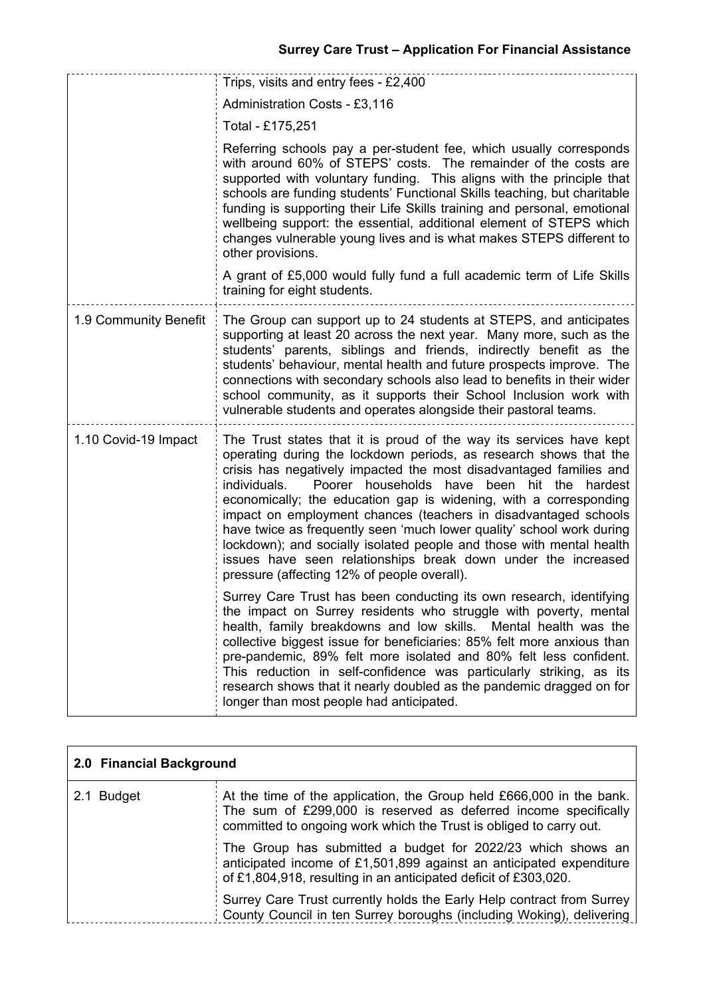|                       | Trips, visits and entry fees - £2,400                                                                                                                                                                                                                                                                                                                                                                                                                                                                                                                                                                                                                                                  |  |
|-----------------------|----------------------------------------------------------------------------------------------------------------------------------------------------------------------------------------------------------------------------------------------------------------------------------------------------------------------------------------------------------------------------------------------------------------------------------------------------------------------------------------------------------------------------------------------------------------------------------------------------------------------------------------------------------------------------------------|--|
|                       | Administration Costs - £3,116                                                                                                                                                                                                                                                                                                                                                                                                                                                                                                                                                                                                                                                          |  |
|                       | Total - £175,251                                                                                                                                                                                                                                                                                                                                                                                                                                                                                                                                                                                                                                                                       |  |
|                       | Referring schools pay a per-student fee, which usually corresponds<br>with around 60% of STEPS' costs. The remainder of the costs are<br>supported with voluntary funding. This aligns with the principle that<br>schools are funding students' Functional Skills teaching, but charitable<br>funding is supporting their Life Skills training and personal, emotional<br>wellbeing support: the essential, additional element of STEPS which<br>changes vulnerable young lives and is what makes STEPS different to<br>other provisions.                                                                                                                                              |  |
|                       | A grant of £5,000 would fully fund a full academic term of Life Skills<br>training for eight students.                                                                                                                                                                                                                                                                                                                                                                                                                                                                                                                                                                                 |  |
| 1.9 Community Benefit | The Group can support up to 24 students at STEPS, and anticipates<br>supporting at least 20 across the next year. Many more, such as the<br>students' parents, siblings and friends, indirectly benefit as the<br>students' behaviour, mental health and future prospects improve. The<br>connections with secondary schools also lead to benefits in their wider<br>school community, as it supports their School Inclusion work with<br>vulnerable students and operates alongside their pastoral teams.                                                                                                                                                                             |  |
| 1.10 Covid-19 Impact  | The Trust states that it is proud of the way its services have kept<br>operating during the lockdown periods, as research shows that the<br>crisis has negatively impacted the most disadvantaged families and<br>individuals.<br>Poorer households have been hit the hardest<br>economically; the education gap is widening, with a corresponding<br>impact on employment chances (teachers in disadvantaged schools<br>have twice as frequently seen 'much lower quality' school work during<br>lockdown); and socially isolated people and those with mental health<br>issues have seen relationships break down under the increased<br>pressure (affecting 12% of people overall). |  |
|                       | Surrey Care Trust has been conducting its own research, identifying<br>the impact on Surrey residents who struggle with poverty, mental<br>health, family breakdowns and low skills. Mental health was the<br>collective biggest issue for beneficiaries: 85% felt more anxious than<br>pre-pandemic, 89% felt more isolated and 80% felt less confident.<br>This reduction in self-confidence was particularly striking, as its<br>research shows that it nearly doubled as the pandemic dragged on for<br>longer than most people had anticipated.                                                                                                                                   |  |

| 2.0 Financial Background |                                                                                                                                                                                                               |
|--------------------------|---------------------------------------------------------------------------------------------------------------------------------------------------------------------------------------------------------------|
| 2.1 Budget               | At the time of the application, the Group held £666,000 in the bank.<br>The sum of £299,000 is reserved as deferred income specifically<br>committed to ongoing work which the Trust is obliged to carry out. |
|                          | The Group has submitted a budget for 2022/23 which shows an<br>anticipated income of £1,501,899 against an anticipated expenditure<br>of £1,804,918, resulting in an anticipated deficit of £303,020.         |
|                          | Surrey Care Trust currently holds the Early Help contract from Surrey<br>County Council in ten Surrey boroughs (including Woking), delivering                                                                 |